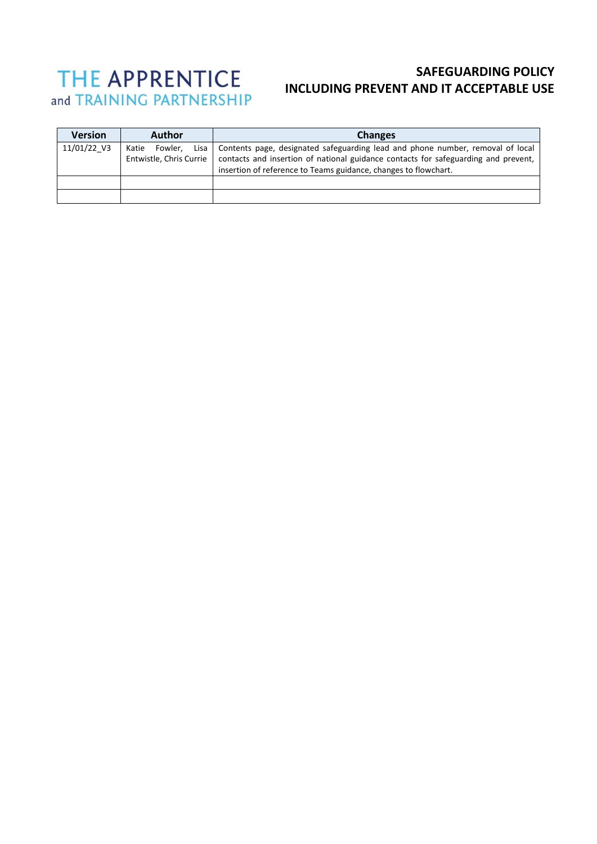# THE APPRENTICE and TRAINING PARTNERSHIP

# **SAFEGUARDING POLICY INCLUDING PREVENT AND IT ACCEPTABLE USE**

| <b>Version</b> | <b>Author</b>                                       | <b>Changes</b>                                                                                                                                                                                                                          |
|----------------|-----------------------------------------------------|-----------------------------------------------------------------------------------------------------------------------------------------------------------------------------------------------------------------------------------------|
| 11/01/22 V3    | Fowler.<br>Lisa<br>Katie<br>Entwistle, Chris Currie | Contents page, designated safeguarding lead and phone number, removal of local<br>contacts and insertion of national guidance contacts for safeguarding and prevent,<br>insertion of reference to Teams guidance, changes to flowchart. |
|                |                                                     |                                                                                                                                                                                                                                         |
|                |                                                     |                                                                                                                                                                                                                                         |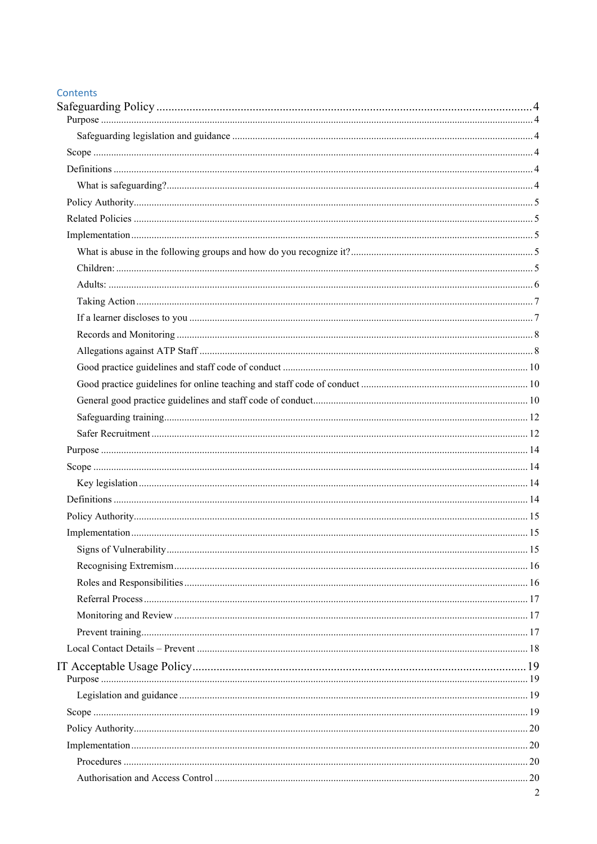| Contents |  |  |
|----------|--|--|

| <b>Contents</b> |                |
|-----------------|----------------|
|                 |                |
|                 |                |
|                 |                |
|                 |                |
|                 |                |
|                 |                |
|                 |                |
|                 |                |
|                 |                |
|                 |                |
|                 |                |
|                 |                |
|                 |                |
|                 |                |
|                 |                |
|                 |                |
|                 |                |
|                 |                |
|                 |                |
|                 |                |
|                 |                |
|                 |                |
|                 |                |
|                 |                |
|                 |                |
|                 |                |
|                 |                |
|                 |                |
|                 |                |
|                 |                |
|                 |                |
|                 |                |
|                 |                |
|                 |                |
|                 |                |
|                 |                |
|                 |                |
|                 |                |
|                 |                |
|                 |                |
|                 |                |
|                 |                |
|                 | $\overline{2}$ |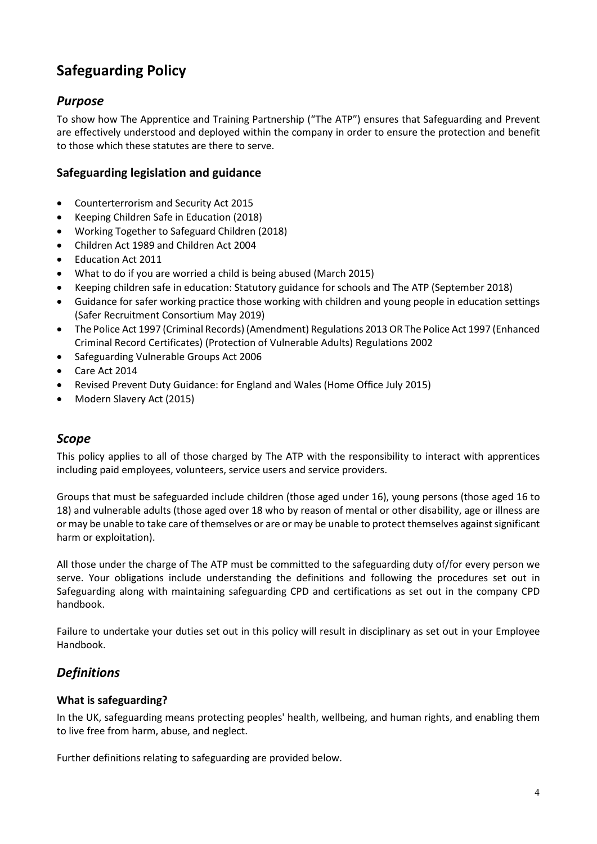# <span id="page-3-0"></span>**Safeguarding Policy**

# <span id="page-3-1"></span>*Purpose*

To show how The Apprentice and Training Partnership ("The ATP") ensures that Safeguarding and Prevent are effectively understood and deployed within the company in order to ensure the protection and benefit to those which these statutes are there to serve.

## <span id="page-3-2"></span>**Safeguarding legislation and guidance**

- Counterterrorism and Security Act 2015
- Keeping Children Safe in Education (2018)
- Working Together to Safeguard Children (2018)
- Children Act 1989 and Children Act 2004
- Education Act 2011
- What to do if you are worried a child is being abused (March 2015)
- Keeping children safe in education: Statutory guidance for schools and The ATP (September 2018)
- Guidance for safer working practice those working with children and young people in education settings (Safer Recruitment Consortium May 2019)
- The Police Act 1997 (Criminal Records) (Amendment) Regulations 2013 OR The Police Act 1997 (Enhanced Criminal Record Certificates) (Protection of Vulnerable Adults) Regulations 2002
- Safeguarding Vulnerable Groups Act 2006
- Care Act 2014
- Revised Prevent Duty Guidance: for England and Wales (Home Office July 2015)
- Modern Slavery Act (2015)

## <span id="page-3-3"></span>*Scope*

This policy applies to all of those charged by The ATP with the responsibility to interact with apprentices including paid employees, volunteers, service users and service providers.

Groups that must be safeguarded include children (those aged under 16), young persons (those aged 16 to 18) and vulnerable adults (those aged over 18 who by reason of mental or other disability, age or illness are or may be unable to take care of themselves or are or may be unable to protect themselves against significant harm or exploitation).

All those under the charge of The ATP must be committed to the safeguarding duty of/for every person we serve. Your obligations include understanding the definitions and following the procedures set out in Safeguarding along with maintaining safeguarding CPD and certifications as set out in the company CPD handbook.

Failure to undertake your duties set out in this policy will result in disciplinary as set out in your Employee Handbook.

# <span id="page-3-4"></span>*Definitions*

### <span id="page-3-5"></span>**What is safeguarding?**

In the UK, safeguarding means protecting peoples' health, wellbeing, and human rights, and enabling them to live free from harm, abuse, and neglect.

Further definitions relating to safeguarding are provided below.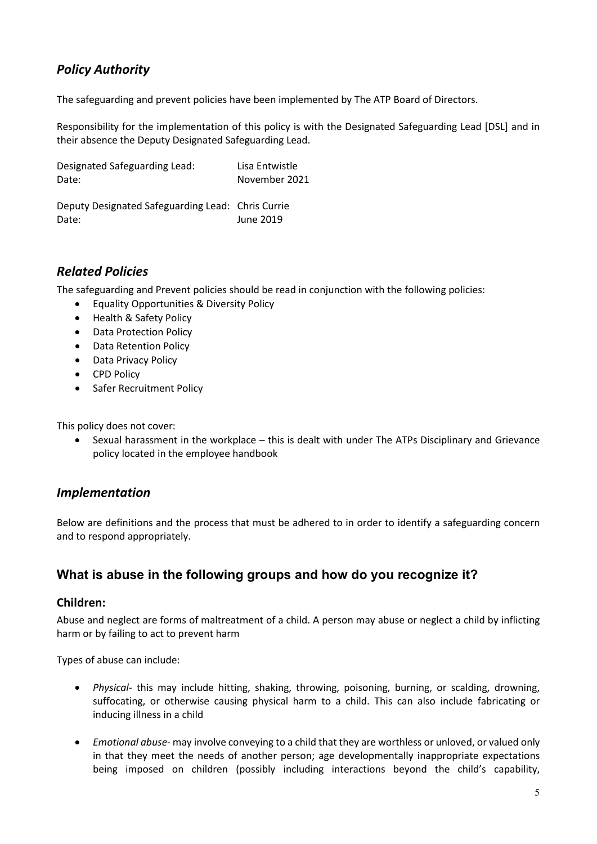# <span id="page-4-0"></span>*Policy Authority*

The safeguarding and prevent policies have been implemented by The ATP Board of Directors.

Responsibility for the implementation of this policy is with the Designated Safeguarding Lead [DSL] and in their absence the Deputy Designated Safeguarding Lead.

| Designated Safeguarding Lead: | Lisa Entwistle |
|-------------------------------|----------------|
| Date:                         | November 2021  |

Deputy Designated Safeguarding Lead: Chris Currie Date: June 2019

## <span id="page-4-1"></span>*Related Policies*

The safeguarding and Prevent policies should be read in conjunction with the following policies:

- Equality Opportunities & Diversity Policy
- Health & Safety Policy
- Data Protection Policy
- Data Retention Policy
- Data Privacy Policy
- CPD Policy
- Safer Recruitment Policy

This policy does not cover:

• Sexual harassment in the workplace – this is dealt with under The ATPs Disciplinary and Grievance policy located in the employee handbook

## <span id="page-4-2"></span>*Implementation*

Below are definitions and the process that must be adhered to in order to identify a safeguarding concern and to respond appropriately.

# <span id="page-4-3"></span>**What is abuse in the following groups and how do you recognize it?**

#### <span id="page-4-4"></span>**Children:**

Abuse and neglect are forms of maltreatment of a child. A person may abuse or neglect a child by inflicting harm or by failing to act to prevent harm

Types of abuse can include:

- *Physical* this may include hitting, shaking, throwing, poisoning, burning, or scalding, drowning, suffocating, or otherwise causing physical harm to a child. This can also include fabricating or inducing illness in a child
- *Emotional abuse-* may involve conveying to a child that they are worthless or unloved, or valued only in that they meet the needs of another person; age developmentally inappropriate expectations being imposed on children (possibly including interactions beyond the child's capability,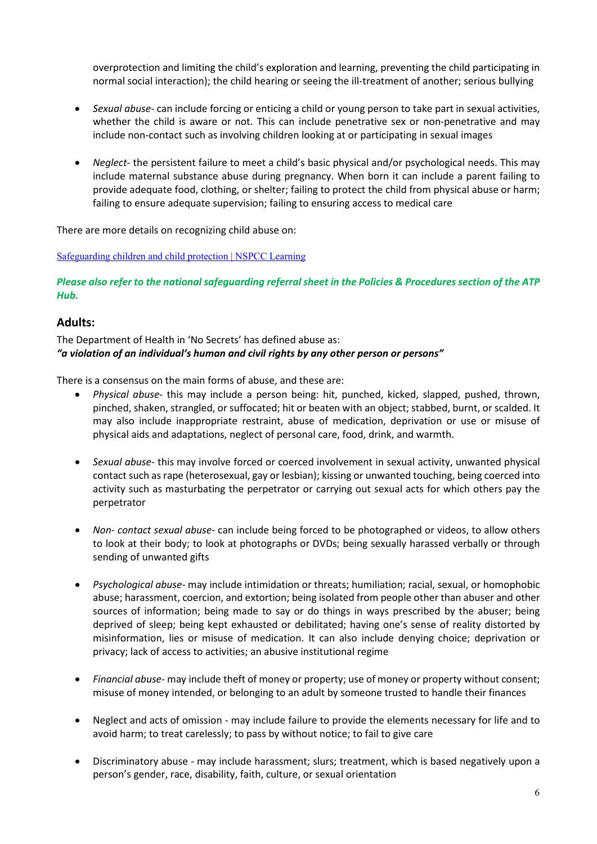overprotection and limiting the child's exploration and learning, preventing the child participating in normal social interaction); the child hearing or seeing the ill-treatment of another; serious bullying

- *Sexual abuse* can include forcing or enticing a child or young person to take part in sexual activities, whether the child is aware or not. This can include penetrative sex or non-penetrative and may include non-contact such as involving children looking at or participating in sexual images
- *Neglect* the persistent failure to meet a child's basic physical and/or psychological needs. This may include maternal substance abuse during pregnancy. When born it can include a parent failing to provide adequate food, clothing, or shelter; failing to protect the child from physical abuse or harm; failing to ensure adequate supervision; failing to ensuring access to medical care

There are more details on recognizing child abuse on:

[Safeguarding children and child protection | NSPCC Learning](https://learning.nspcc.org.uk/safeguarding-child-protection)

*Please also refer to the national safeguarding referral sheet in the Policies & Procedures section of the ATP Hub.* 

#### <span id="page-5-0"></span>**Adults:**

The Department of Health in 'No Secrets' has defined abuse as: *"a violation of an individual's human and civil rights by any other person or persons"*

There is a consensus on the main forms of abuse, and these are:

- *Physical abuse* this may include a person being: hit, punched, kicked, slapped, pushed, thrown, pinched, shaken, strangled, or suffocated; hit or beaten with an object; stabbed, burnt, or scalded. It may also include inappropriate restraint, abuse of medication, deprivation or use or misuse of physical aids and adaptations, neglect of personal care, food, drink, and warmth.
- *Sexual abuse* this may involve forced or coerced involvement in sexual activity, unwanted physical contact such as rape (heterosexual, gay or lesbian); kissing or unwanted touching, being coerced into activity such as masturbating the perpetrator or carrying out sexual acts for which others pay the perpetrator
- *Non- contact sexual abuse* can include being forced to be photographed or videos, to allow others to look at their body; to look at photographs or DVDs; being sexually harassed verbally or through sending of unwanted gifts
- *Psychological abuse* may include intimidation or threats; humiliation; racial, sexual, or homophobic abuse; harassment, coercion, and extortion; being isolated from people other than abuser and other sources of information; being made to say or do things in ways prescribed by the abuser; being deprived of sleep; being kept exhausted or debilitated; having one's sense of reality distorted by misinformation, lies or misuse of medication. It can also include denying choice; deprivation or privacy; lack of access to activities; an abusive institutional regime
- *Financial abuse-* may include theft of money or property; use of money or property without consent; misuse of money intended, or belonging to an adult by someone trusted to handle their finances
- Neglect and acts of omission may include failure to provide the elements necessary for life and to avoid harm; to treat carelessly; to pass by without notice; to fail to give care
- Discriminatory abuse may include harassment; slurs; treatment, which is based negatively upon a person's gender, race, disability, faith, culture, or sexual orientation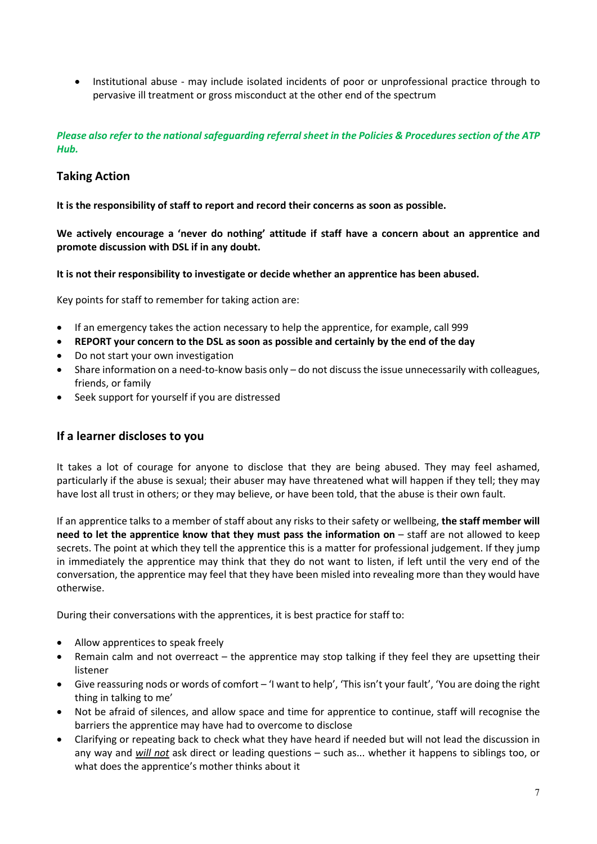• Institutional abuse - may include isolated incidents of poor or unprofessional practice through to pervasive ill treatment or gross misconduct at the other end of the spectrum

#### *Please also refer to the national safeguarding referral sheet in the Policies & Procedures section of the ATP Hub.*

### <span id="page-6-0"></span>**Taking Action**

**It is the responsibility of staff to report and record their concerns as soon as possible.** 

**We actively encourage a 'never do nothing' attitude if staff have a concern about an apprentice and promote discussion with DSL if in any doubt.**

**It is not their responsibility to investigate or decide whether an apprentice has been abused.** 

Key points for staff to remember for taking action are:

- If an emergency takes the action necessary to help the apprentice, for example, call 999
- **REPORT your concern to the DSL as soon as possible and certainly by the end of the day**
- Do not start your own investigation
- Share information on a need-to-know basis only do not discuss the issue unnecessarily with colleagues, friends, or family
- Seek support for yourself if you are distressed

#### <span id="page-6-1"></span>**If a learner discloses to you**

It takes a lot of courage for anyone to disclose that they are being abused. They may feel ashamed, particularly if the abuse is sexual; their abuser may have threatened what will happen if they tell; they may have lost all trust in others; or they may believe, or have been told, that the abuse is their own fault.

If an apprentice talks to a member of staff about any risks to their safety or wellbeing, **the staff member will need to let the apprentice know that they must pass the information on – staff are not allowed to keep** secrets. The point at which they tell the apprentice this is a matter for professional judgement. If they jump in immediately the apprentice may think that they do not want to listen, if left until the very end of the conversation, the apprentice may feel that they have been misled into revealing more than they would have otherwise.

During their conversations with the apprentices, it is best practice for staff to:

- Allow apprentices to speak freely
- Remain calm and not overreact the apprentice may stop talking if they feel they are upsetting their listener
- Give reassuring nods or words of comfort 'I want to help', 'This isn't your fault', 'You are doing the right thing in talking to me'
- Not be afraid of silences, and allow space and time for apprentice to continue, staff will recognise the barriers the apprentice may have had to overcome to disclose
- Clarifying or repeating back to check what they have heard if needed but will not lead the discussion in any way and *will not* ask direct or leading questions – such as... whether it happens to siblings too, or what does the apprentice's mother thinks about it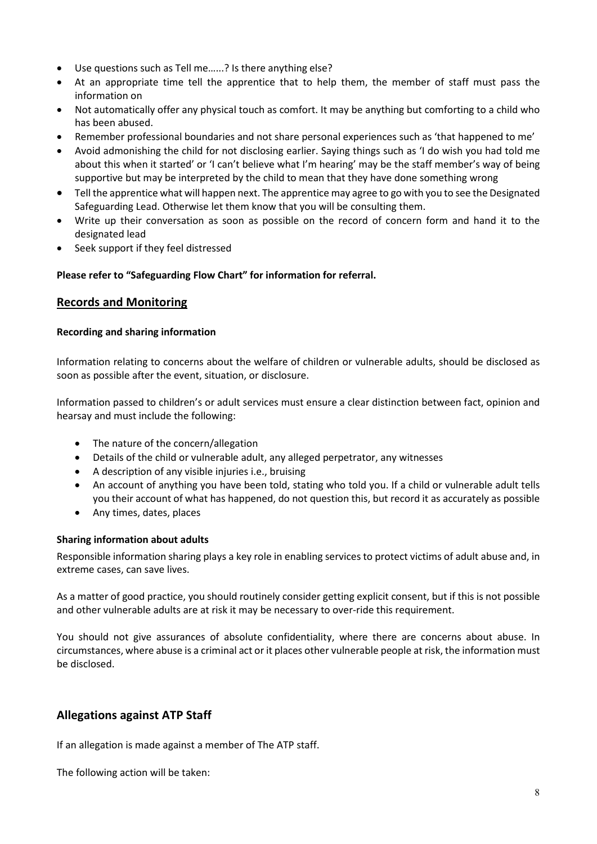- Use questions such as Tell me…...? Is there anything else?
- At an appropriate time tell the apprentice that to help them, the member of staff must pass the information on
- Not automatically offer any physical touch as comfort. It may be anything but comforting to a child who has been abused.
- Remember professional boundaries and not share personal experiences such as 'that happened to me'
- Avoid admonishing the child for not disclosing earlier. Saying things such as 'I do wish you had told me about this when it started' or 'I can't believe what I'm hearing' may be the staff member's way of being supportive but may be interpreted by the child to mean that they have done something wrong
- Tell the apprentice what will happen next. The apprentice may agree to go with you to see the Designated Safeguarding Lead. Otherwise let them know that you will be consulting them.
- Write up their conversation as soon as possible on the record of concern form and hand it to the designated lead
- Seek support if they feel distressed

#### <span id="page-7-0"></span>**Please refer to "Safeguarding Flow Chart" for information for referral.**

#### **Records and Monitoring**

#### **Recording and sharing information**

Information relating to concerns about the welfare of children or vulnerable adults, should be disclosed as soon as possible after the event, situation, or disclosure.

Information passed to children's or adult services must ensure a clear distinction between fact, opinion and hearsay and must include the following:

- The nature of the concern/allegation
- Details of the child or vulnerable adult, any alleged perpetrator, any witnesses
- A description of any visible injuries i.e., bruising
- An account of anything you have been told, stating who told you. If a child or vulnerable adult tells you their account of what has happened, do not question this, but record it as accurately as possible
- Any times, dates, places

#### **Sharing information about adults**

Responsible information sharing plays a key role in enabling services to protect victims of adult abuse and, in extreme cases, can save lives.

As a matter of good practice, you should routinely consider getting explicit consent, but if this is not possible and other vulnerable adults are at risk it may be necessary to over-ride this requirement.

You should not give assurances of absolute confidentiality, where there are concerns about abuse. In circumstances, where abuse is a criminal act or it places other vulnerable people at risk, the information must be disclosed.

## <span id="page-7-1"></span>**Allegations against ATP Staff**

If an allegation is made against a member of The ATP staff.

The following action will be taken: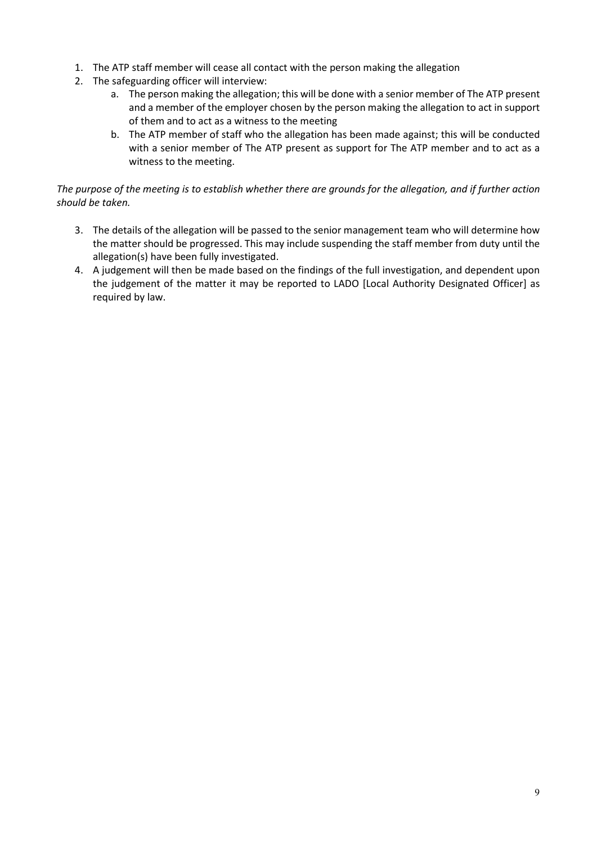- 1. The ATP staff member will cease all contact with the person making the allegation
- 2. The safeguarding officer will interview:
	- a. The person making the allegation; this will be done with a senior member of The ATP present and a member of the employer chosen by the person making the allegation to act in support of them and to act as a witness to the meeting
	- b. The ATP member of staff who the allegation has been made against; this will be conducted with a senior member of The ATP present as support for The ATP member and to act as a witness to the meeting.

#### *The purpose of the meeting is to establish whether there are grounds for the allegation, and if further action should be taken.*

- 3. The details of the allegation will be passed to the senior management team who will determine how the matter should be progressed. This may include suspending the staff member from duty until the allegation(s) have been fully investigated.
- 4. A judgement will then be made based on the findings of the full investigation, and dependent upon the judgement of the matter it may be reported to LADO [Local Authority Designated Officer] as required by law.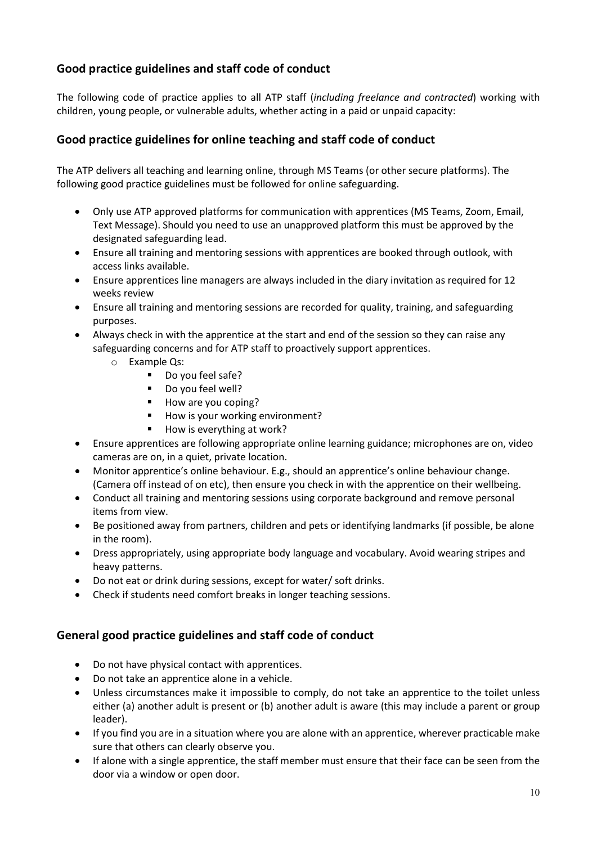# <span id="page-9-0"></span>**Good practice guidelines and staff code of conduct**

The following code of practice applies to all ATP staff (*including freelance and contracted*) working with children, young people, or vulnerable adults, whether acting in a paid or unpaid capacity:

## <span id="page-9-1"></span>**Good practice guidelines for online teaching and staff code of conduct**

The ATP delivers all teaching and learning online, through MS Teams (or other secure platforms). The following good practice guidelines must be followed for online safeguarding.

- Only use ATP approved platforms for communication with apprentices (MS Teams, Zoom, Email, Text Message). Should you need to use an unapproved platform this must be approved by the designated safeguarding lead.
- Ensure all training and mentoring sessions with apprentices are booked through outlook, with access links available.
- Ensure apprentices line managers are always included in the diary invitation as required for 12 weeks review
- Ensure all training and mentoring sessions are recorded for quality, training, and safeguarding purposes.
- Always check in with the apprentice at the start and end of the session so they can raise any safeguarding concerns and for ATP staff to proactively support apprentices.
	- o Example Qs:
		- Do you feel safe?
		- Do you feel well?
		- How are you coping?
		- How is your working environment?
		- How is everything at work?
- Ensure apprentices are following appropriate online learning guidance; microphones are on, video cameras are on, in a quiet, private location.
- Monitor apprentice's online behaviour. E.g., should an apprentice's online behaviour change. (Camera off instead of on etc), then ensure you check in with the apprentice on their wellbeing.
- Conduct all training and mentoring sessions using corporate background and remove personal items from view.
- Be positioned away from partners, children and pets or identifying landmarks (if possible, be alone in the room).
- Dress appropriately, using appropriate body language and vocabulary. Avoid wearing stripes and heavy patterns.
- Do not eat or drink during sessions, except for water/ soft drinks.
- Check if students need comfort breaks in longer teaching sessions.

### <span id="page-9-2"></span>**General good practice guidelines and staff code of conduct**

- Do not have physical contact with apprentices.
- Do not take an apprentice alone in a vehicle.
- Unless circumstances make it impossible to comply, do not take an apprentice to the toilet unless either (a) another adult is present or (b) another adult is aware (this may include a parent or group leader).
- If you find you are in a situation where you are alone with an apprentice, wherever practicable make sure that others can clearly observe you.
- If alone with a single apprentice, the staff member must ensure that their face can be seen from the door via a window or open door.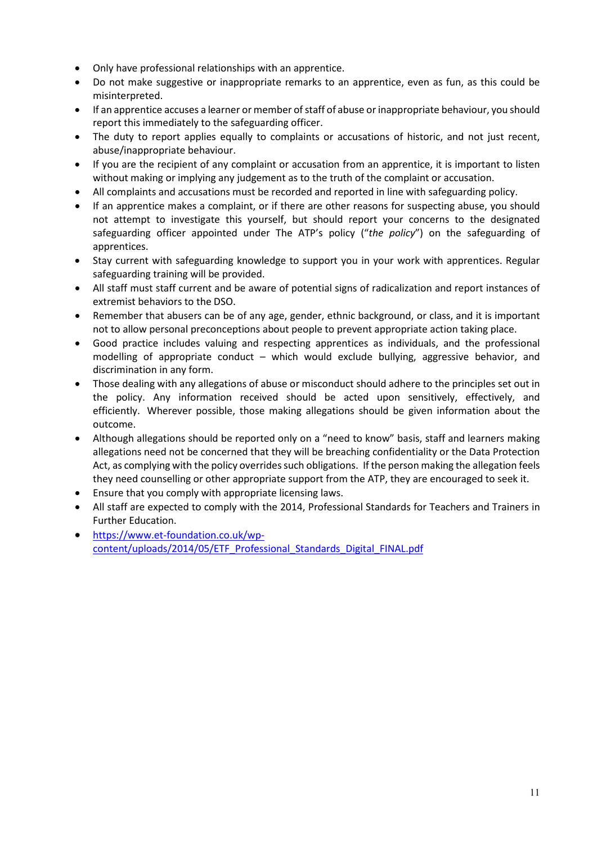- Only have professional relationships with an apprentice.
- Do not make suggestive or inappropriate remarks to an apprentice, even as fun, as this could be misinterpreted.
- If an apprentice accuses a learner or member of staff of abuse or inappropriate behaviour, you should report this immediately to the safeguarding officer.
- The duty to report applies equally to complaints or accusations of historic, and not just recent, abuse/inappropriate behaviour.
- If you are the recipient of any complaint or accusation from an apprentice, it is important to listen without making or implying any judgement as to the truth of the complaint or accusation.
- All complaints and accusations must be recorded and reported in line with safeguarding policy.
- If an apprentice makes a complaint, or if there are other reasons for suspecting abuse, you should not attempt to investigate this yourself, but should report your concerns to the designated safeguarding officer appointed under The ATP's policy ("*the policy*") on the safeguarding of apprentices.
- Stay current with safeguarding knowledge to support you in your work with apprentices. Regular safeguarding training will be provided.
- All staff must staff current and be aware of potential signs of radicalization and report instances of extremist behaviors to the DSO.
- Remember that abusers can be of any age, gender, ethnic background, or class, and it is important not to allow personal preconceptions about people to prevent appropriate action taking place.
- Good practice includes valuing and respecting apprentices as individuals, and the professional modelling of appropriate conduct – which would exclude bullying, aggressive behavior, and discrimination in any form.
- Those dealing with any allegations of abuse or misconduct should adhere to the principles set out in the policy. Any information received should be acted upon sensitively, effectively, and efficiently. Wherever possible, those making allegations should be given information about the outcome.
- Although allegations should be reported only on a "need to know" basis, staff and learners making allegations need not be concerned that they will be breaching confidentiality or the Data Protection Act, as complying with the policy overrides such obligations. If the person making the allegation feels they need counselling or other appropriate support from the ATP, they are encouraged to seek it.
- Ensure that you comply with appropriate licensing laws.
- All staff are expected to comply with the 2014, Professional Standards for Teachers and Trainers in Further Education.
- [https://www.et-foundation.co.uk/wp](https://www.et-foundation.co.uk/wp-content/uploads/2014/05/ETF_Professional_Standards_Digital_FINAL.pdf)[content/uploads/2014/05/ETF\\_Professional\\_Standards\\_Digital\\_FINAL.pdf](https://www.et-foundation.co.uk/wp-content/uploads/2014/05/ETF_Professional_Standards_Digital_FINAL.pdf)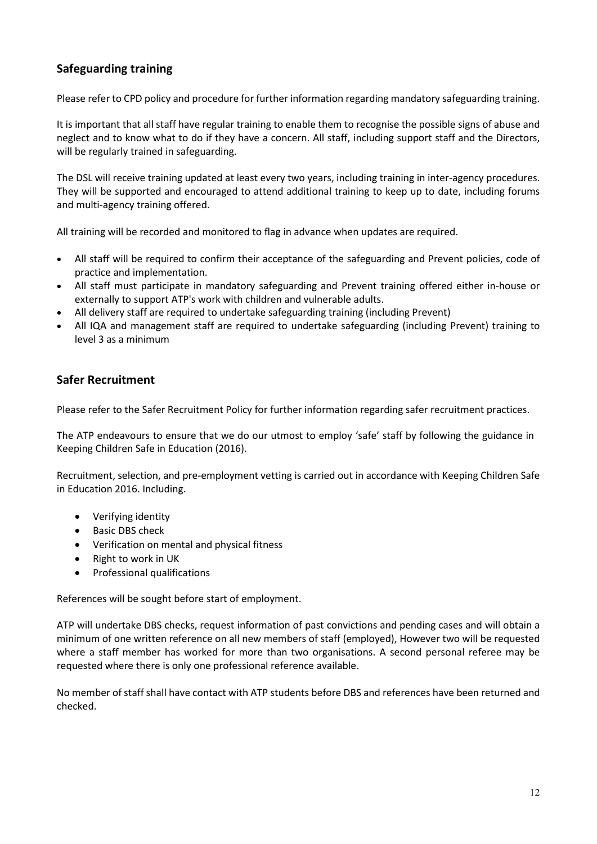# <span id="page-11-0"></span>**Safeguarding training**

Please refer to CPD policy and procedure for further information regarding mandatory safeguarding training.

It is important that all staff have regular training to enable them to recognise the possible signs of abuse and neglect and to know what to do if they have a concern. All staff, including support staff and the Directors, will be regularly trained in safeguarding.

The DSL will receive training updated at least every two years, including training in inter-agency procedures. They will be supported and encouraged to attend additional training to keep up to date, including forums and multi-agency training offered.

All training will be recorded and monitored to flag in advance when updates are required.

- All staff will be required to confirm their acceptance of the safeguarding and Prevent policies, code of practice and implementation.
- All staff must participate in mandatory safeguarding and Prevent training offered either in-house or externally to support ATP's work with children and vulnerable adults.
- All delivery staff are required to undertake safeguarding training (including Prevent)
- All IQA and management staff are required to undertake safeguarding (including Prevent) training to level 3 as a minimum

## <span id="page-11-1"></span>**Safer Recruitment**

Please refer to the Safer Recruitment Policy for further information regarding safer recruitment practices.

The ATP endeavours to ensure that we do our utmost to employ 'safe' staff by following the guidance in Keeping Children Safe in Education (2016).

Recruitment, selection, and pre-employment vetting is carried out in accordance with Keeping Children Safe in Education 2016. Including.

- Verifying identity
- Basic DBS check
- Verification on mental and physical fitness
- Right to work in UK
- Professional qualifications

References will be sought before start of employment.

ATP will undertake DBS checks, request information of past convictions and pending cases and will obtain a minimum of one written reference on all new members of staff (employed), However two will be requested where a staff member has worked for more than two organisations. A second personal referee may be requested where there is only one professional reference available.

No member of staff shall have contact with ATP students before DBS and references have been returned and checked.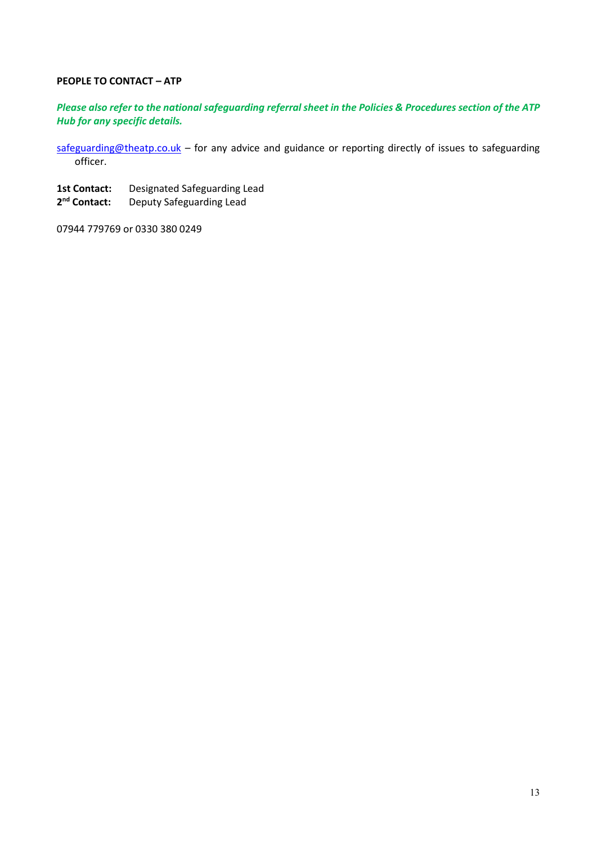#### **PEOPLE TO CONTACT – ATP**

#### *Please also refer to the national safeguarding referral sheet in the Policies & Procedures section of the ATP Hub for any specific details.*

[safeguarding@theatp.co.uk](mailto:safeguarding@theatp.co.uk) - for any advice and guidance or reporting directly of issues to safeguarding officer.

- 1st Contact: Designated Safeguarding Lead
- 2<sup>nd</sup> Contact: **Deputy Safeguarding Lead**

07944 779769 or 0330 380 0249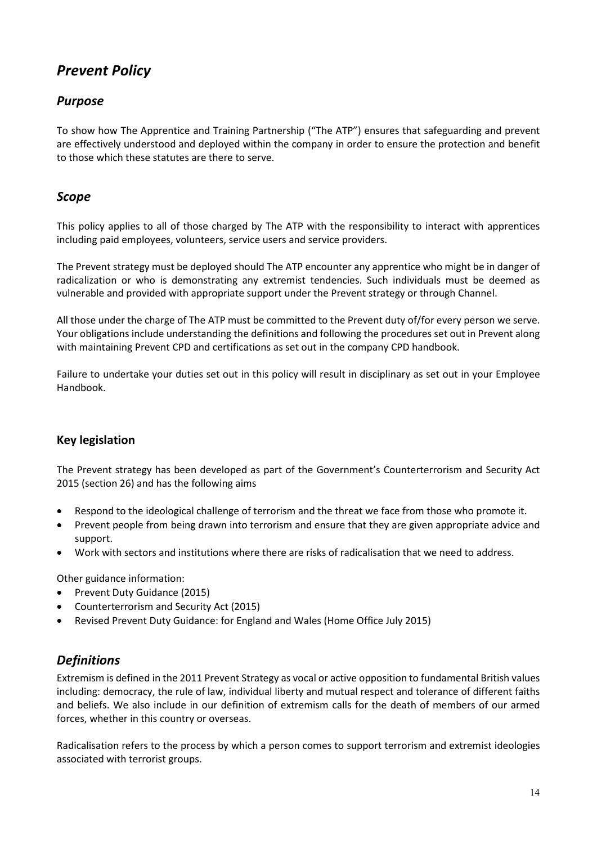# *Prevent Policy*

# <span id="page-13-0"></span>*Purpose*

To show how The Apprentice and Training Partnership ("The ATP") ensures that safeguarding and prevent are effectively understood and deployed within the company in order to ensure the protection and benefit to those which these statutes are there to serve.

## <span id="page-13-1"></span>*Scope*

This policy applies to all of those charged by The ATP with the responsibility to interact with apprentices including paid employees, volunteers, service users and service providers.

The Prevent strategy must be deployed should The ATP encounter any apprentice who might be in danger of radicalization or who is demonstrating any extremist tendencies. Such individuals must be deemed as vulnerable and provided with appropriate support under the Prevent strategy or through Channel.

All those under the charge of The ATP must be committed to the Prevent duty of/for every person we serve. Your obligations include understanding the definitions and following the procedures set out in Prevent along with maintaining Prevent CPD and certifications as set out in the company CPD handbook.

Failure to undertake your duties set out in this policy will result in disciplinary as set out in your Employee Handbook.

### <span id="page-13-2"></span>**Key legislation**

The Prevent strategy has been developed as part of the Government's Counterterrorism and Security Act 2015 (section 26) and has the following aims

- Respond to the ideological challenge of terrorism and the threat we face from those who promote it.
- Prevent people from being drawn into terrorism and ensure that they are given appropriate advice and support.
- Work with sectors and institutions where there are risks of radicalisation that we need to address.

Other guidance information:

- Prevent Duty Guidance (2015)
- Counterterrorism and Security Act (2015)
- Revised Prevent Duty Guidance: for England and Wales (Home Office July 2015)

## <span id="page-13-3"></span>*Definitions*

Extremism is defined in the 2011 Prevent Strategy as vocal or active opposition to fundamental British values including: democracy, the rule of law, individual liberty and mutual respect and tolerance of different faiths and beliefs. We also include in our definition of extremism calls for the death of members of our armed forces, whether in this country or overseas.

Radicalisation refers to the process by which a person comes to support terrorism and extremist ideologies associated with terrorist groups.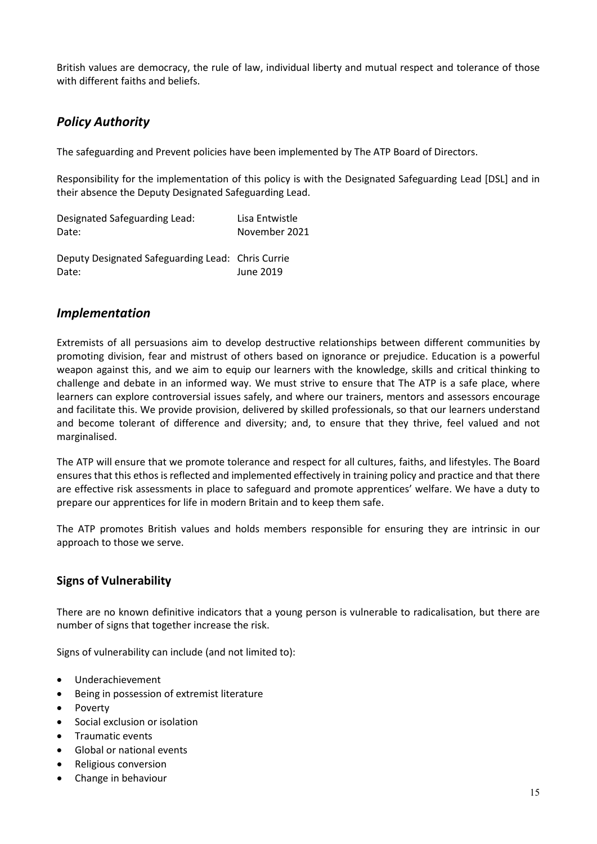British values are democracy, the rule of law, individual liberty and mutual respect and tolerance of those with different faiths and beliefs.

# <span id="page-14-0"></span>*Policy Authority*

The safeguarding and Prevent policies have been implemented by The ATP Board of Directors.

Responsibility for the implementation of this policy is with the Designated Safeguarding Lead [DSL] and in their absence the Deputy Designated Safeguarding Lead.

| Designated Safeguarding Lead: | Lisa Entwistle |
|-------------------------------|----------------|
| Date:                         | November 2021  |

Deputy Designated Safeguarding Lead: Chris Currie Date: June 2019

## <span id="page-14-1"></span>*Implementation*

Extremists of all persuasions aim to develop destructive relationships between different communities by promoting division, fear and mistrust of others based on ignorance or prejudice. Education is a powerful weapon against this, and we aim to equip our learners with the knowledge, skills and critical thinking to challenge and debate in an informed way. We must strive to ensure that The ATP is a safe place, where learners can explore controversial issues safely, and where our trainers, mentors and assessors encourage and facilitate this. We provide provision, delivered by skilled professionals, so that our learners understand and become tolerant of difference and diversity; and, to ensure that they thrive, feel valued and not marginalised.

The ATP will ensure that we promote tolerance and respect for all cultures, faiths, and lifestyles. The Board ensures that this ethos is reflected and implemented effectively in training policy and practice and that there are effective risk assessments in place to safeguard and promote apprentices' welfare. We have a duty to prepare our apprentices for life in modern Britain and to keep them safe.

The ATP promotes British values and holds members responsible for ensuring they are intrinsic in our approach to those we serve.

### <span id="page-14-2"></span>**Signs of Vulnerability**

There are no known definitive indicators that a young person is vulnerable to radicalisation, but there are number of signs that together increase the risk.

Signs of vulnerability can include (and not limited to):

- Underachievement
- Being in possession of extremist literature
- Poverty
- Social exclusion or isolation
- Traumatic events
- Global or national events
- Religious conversion
- Change in behaviour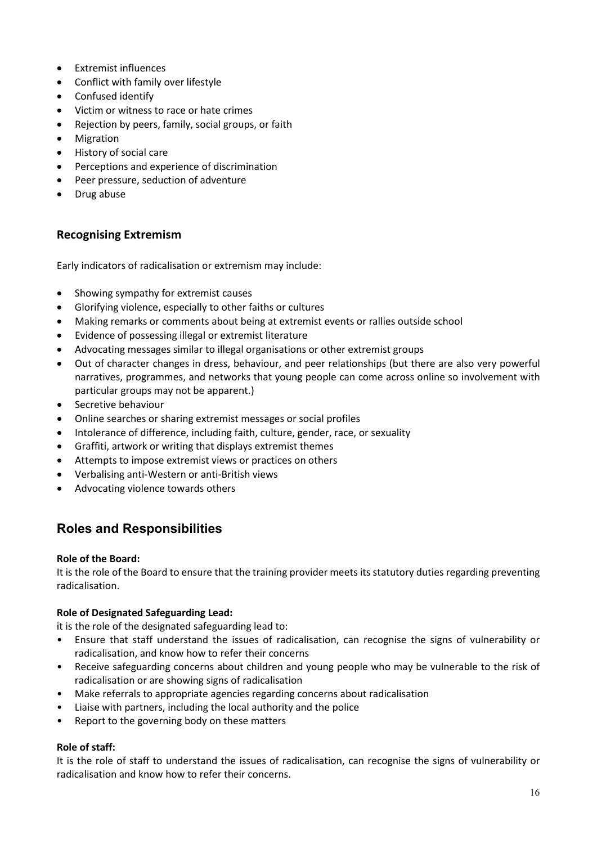- Extremist influences
- Conflict with family over lifestyle
- Confused identify
- Victim or witness to race or hate crimes
- Rejection by peers, family, social groups, or faith
- Migration
- History of social care
- Perceptions and experience of discrimination
- Peer pressure, seduction of adventure
- Drug abuse

## <span id="page-15-0"></span>**Recognising Extremism**

Early indicators of radicalisation or extremism may include:

- Showing sympathy for extremist causes
- Glorifying violence, especially to other faiths or cultures
- Making remarks or comments about being at extremist events or rallies outside school
- Evidence of possessing illegal or extremist literature
- Advocating messages similar to illegal organisations or other extremist groups
- Out of character changes in dress, behaviour, and peer relationships (but there are also very powerful narratives, programmes, and networks that young people can come across online so involvement with particular groups may not be apparent.)
- Secretive behaviour
- Online searches or sharing extremist messages or social profiles
- Intolerance of difference, including faith, culture, gender, race, or sexuality
- Graffiti, artwork or writing that displays extremist themes
- Attempts to impose extremist views or practices on others
- Verbalising anti-Western or anti-British views
- Advocating violence towards others

# <span id="page-15-1"></span>**Roles and Responsibilities**

#### **Role of the Board:**

It is the role of the Board to ensure that the training provider meets its statutory duties regarding preventing radicalisation.

#### **Role of Designated Safeguarding Lead:**

it is the role of the designated safeguarding lead to:

- Ensure that staff understand the issues of radicalisation, can recognise the signs of vulnerability or radicalisation, and know how to refer their concerns
- Receive safeguarding concerns about children and young people who may be vulnerable to the risk of radicalisation or are showing signs of radicalisation
- Make referrals to appropriate agencies regarding concerns about radicalisation
- Liaise with partners, including the local authority and the police
- Report to the governing body on these matters

#### **Role of staff:**

It is the role of staff to understand the issues of radicalisation, can recognise the signs of vulnerability or radicalisation and know how to refer their concerns.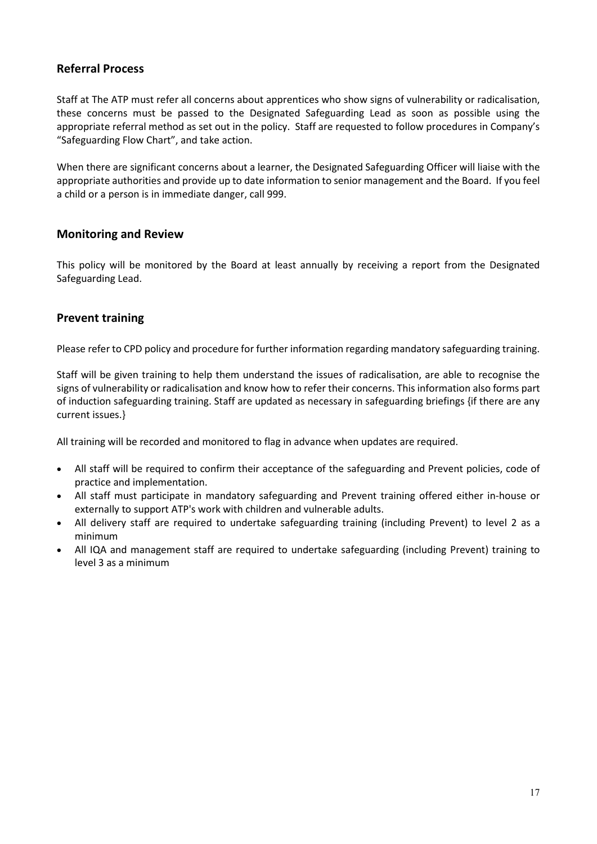#### <span id="page-16-0"></span>**Referral Process**

Staff at The ATP must refer all concerns about apprentices who show signs of vulnerability or radicalisation, these concerns must be passed to the Designated Safeguarding Lead as soon as possible using the appropriate referral method as set out in the policy. Staff are requested to follow procedures in Company's "Safeguarding Flow Chart", and take action.

When there are significant concerns about a learner, the Designated Safeguarding Officer will liaise with the appropriate authorities and provide up to date information to senior management and the Board. If you feel a child or a person is in immediate danger, call 999.

#### <span id="page-16-1"></span>**Monitoring and Review**

This policy will be monitored by the Board at least annually by receiving a report from the Designated Safeguarding Lead.

#### <span id="page-16-2"></span>**Prevent training**

Please refer to CPD policy and procedure for further information regarding mandatory safeguarding training.

Staff will be given training to help them understand the issues of radicalisation, are able to recognise the signs of vulnerability or radicalisation and know how to refer their concerns. This information also forms part of induction safeguarding training. Staff are updated as necessary in safeguarding briefings {if there are any current issues.}

All training will be recorded and monitored to flag in advance when updates are required.

- All staff will be required to confirm their acceptance of the safeguarding and Prevent policies, code of practice and implementation.
- All staff must participate in mandatory safeguarding and Prevent training offered either in-house or externally to support ATP's work with children and vulnerable adults.
- All delivery staff are required to undertake safeguarding training (including Prevent) to level 2 as a minimum
- All IQA and management staff are required to undertake safeguarding (including Prevent) training to level 3 as a minimum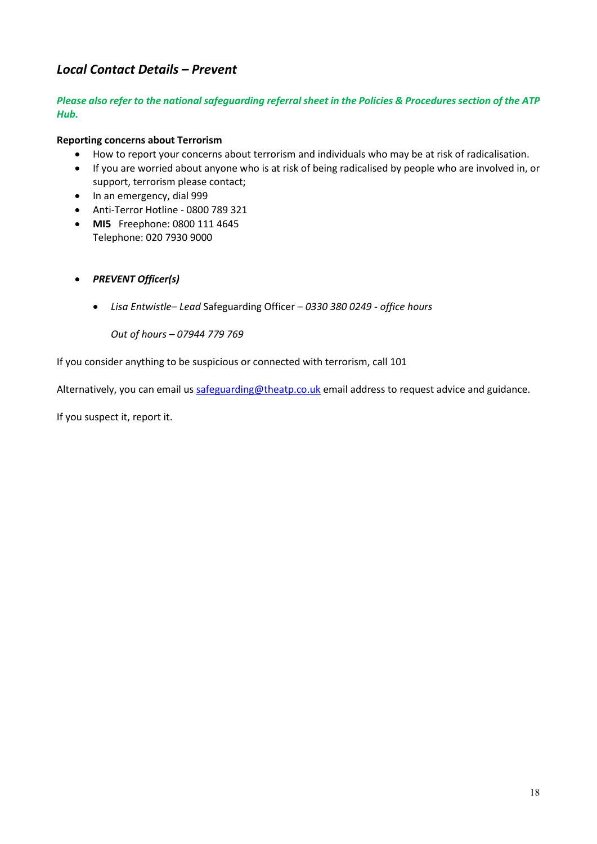# <span id="page-17-0"></span>*Local Contact Details – Prevent*

#### *Please also refer to the national safeguarding referral sheet in the Policies & Procedures section of the ATP Hub.*

#### **Reporting concerns about Terrorism**

- How to report your concerns about terrorism and individuals who may be at risk of radicalisation.
- If you are worried about anyone who is at risk of being radicalised by people who are involved in, or support, terrorism please contact;
- In an emergency, dial 999
- Anti-Terror Hotline 0800 789 321
- **MI5** Freephone: 0800 111 4645 Telephone: 020 7930 9000
- *PREVENT Officer(s)*
	- *Lisa Entwistle– Lead* Safeguarding Officer *0330 380 0249 office hours*

*Out of hours – 07944 779 769* 

If you consider anything to be suspicious or connected with terrorism, call 101

Alternatively, you can email us [safeguarding@theatp.co.uk](mailto:safeguarding@theatp.co.uk) email address to request advice and guidance.

If you suspect it, report it.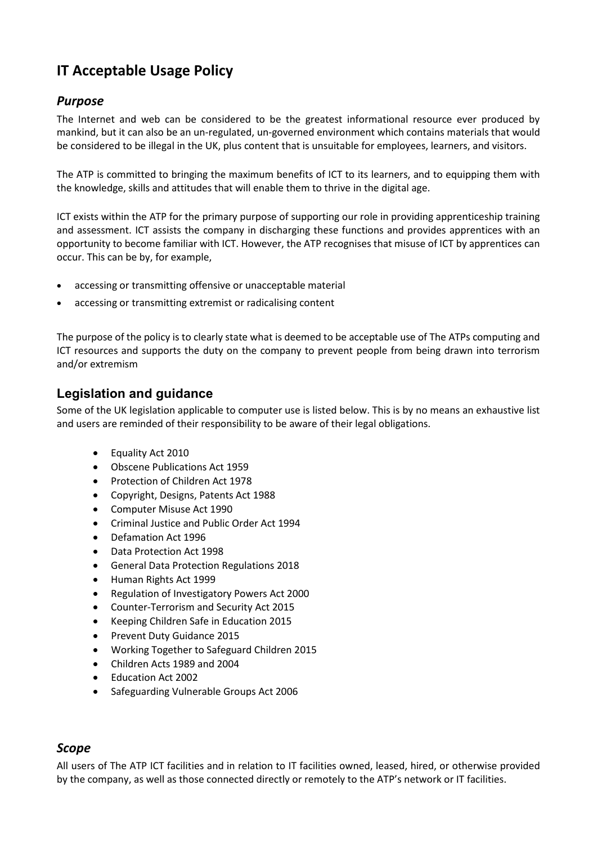# <span id="page-18-0"></span>**IT Acceptable Usage Policy**

# <span id="page-18-1"></span>*Purpose*

The Internet and web can be considered to be the greatest informational resource ever produced by mankind, but it can also be an un-regulated, un-governed environment which contains materials that would be considered to be illegal in the UK, plus content that is unsuitable for employees, learners, and visitors.

The ATP is committed to bringing the maximum benefits of ICT to its learners, and to equipping them with the knowledge, skills and attitudes that will enable them to thrive in the digital age.

ICT exists within the ATP for the primary purpose of supporting our role in providing apprenticeship training and assessment. ICT assists the company in discharging these functions and provides apprentices with an opportunity to become familiar with ICT. However, the ATP recognises that misuse of ICT by apprentices can occur. This can be by, for example,

- accessing or transmitting offensive or unacceptable material
- accessing or transmitting extremist or radicalising content

The purpose of the policy is to clearly state what is deemed to be acceptable use of The ATPs computing and ICT resources and supports the duty on the company to prevent people from being drawn into terrorism and/or extremism

# <span id="page-18-2"></span>**Legislation and guidance**

Some of the UK legislation applicable to computer use is listed below. This is by no means an exhaustive list and users are reminded of their responsibility to be aware of their legal obligations.

- Equality Act 2010
- Obscene Publications Act 1959
- Protection of Children Act 1978
- Copyright, Designs, Patents Act 1988
- Computer Misuse Act 1990
- Criminal Justice and Public Order Act 1994
- Defamation Act 1996
- Data Protection Act 1998
- General Data Protection Regulations 2018
- Human Rights Act 1999
- Regulation of Investigatory Powers Act 2000
- Counter-Terrorism and Security Act 2015
- Keeping Children Safe in Education 2015
- Prevent Duty Guidance 2015
- Working Together to Safeguard Children 2015
- Children Acts 1989 and 2004
- Education Act 2002
- Safeguarding Vulnerable Groups Act 2006

### <span id="page-18-3"></span>*Scope*

All users of The ATP ICT facilities and in relation to IT facilities owned, leased, hired, or otherwise provided by the company, as well as those connected directly or remotely to the ATP's network or IT facilities.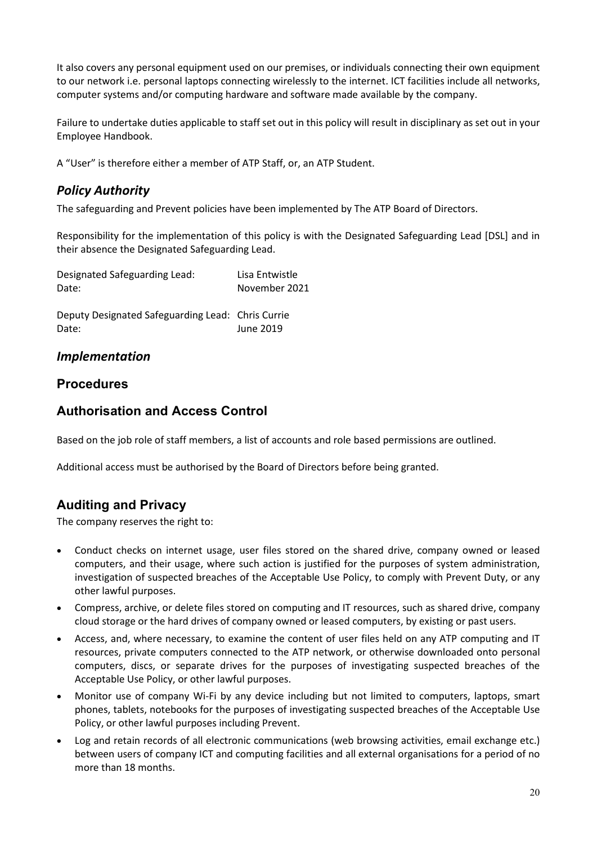It also covers any personal equipment used on our premises, or individuals connecting their own equipment to our network i.e. personal laptops connecting wirelessly to the internet. ICT facilities include all networks, computer systems and/or computing hardware and software made available by the company.

Failure to undertake duties applicable to staff set out in this policy will result in disciplinary as set out in your Employee Handbook.

<span id="page-19-0"></span>A "User" is therefore either a member of ATP Staff, or, an ATP Student.

## *Policy Authority*

The safeguarding and Prevent policies have been implemented by The ATP Board of Directors.

Responsibility for the implementation of this policy is with the Designated Safeguarding Lead [DSL] and in their absence the Designated Safeguarding Lead.

| Designated Safeguarding Lead: | Lisa Entwistle |
|-------------------------------|----------------|
| Date:                         | November 2021  |
|                               |                |

Deputy Designated Safeguarding Lead: Chris Currie Date: June 2019

## <span id="page-19-1"></span>*Implementation*

## <span id="page-19-2"></span>**Procedures**

## <span id="page-19-3"></span>**Authorisation and Access Control**

Based on the job role of staff members, a list of accounts and role based permissions are outlined.

Additional access must be authorised by the Board of Directors before being granted.

# <span id="page-19-4"></span>**Auditing and Privacy**

The company reserves the right to:

- Conduct checks on internet usage, user files stored on the shared drive, company owned or leased computers, and their usage, where such action is justified for the purposes of system administration, investigation of suspected breaches of the Acceptable Use Policy, to comply with Prevent Duty, or any other lawful purposes.
- Compress, archive, or delete files stored on computing and IT resources, such as shared drive, company cloud storage or the hard drives of company owned or leased computers, by existing or past users.
- Access, and, where necessary, to examine the content of user files held on any ATP computing and IT resources, private computers connected to the ATP network, or otherwise downloaded onto personal computers, discs, or separate drives for the purposes of investigating suspected breaches of the Acceptable Use Policy, or other lawful purposes.
- Monitor use of company Wi-Fi by any device including but not limited to computers, laptops, smart phones, tablets, notebooks for the purposes of investigating suspected breaches of the Acceptable Use Policy, or other lawful purposes including Prevent.
- Log and retain records of all electronic communications (web browsing activities, email exchange etc.) between users of company ICT and computing facilities and all external organisations for a period of no more than 18 months.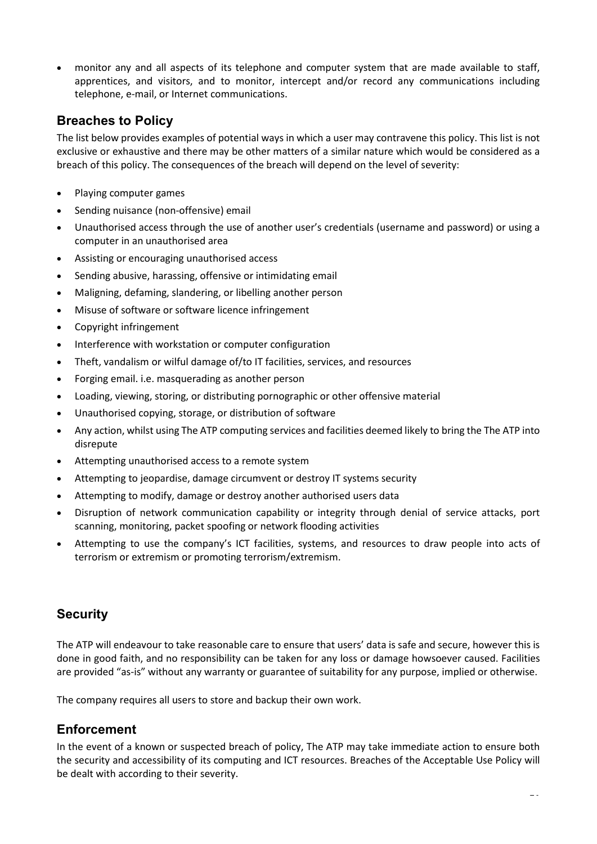• monitor any and all aspects of its telephone and computer system that are made available to staff, apprentices, and visitors, and to monitor, intercept and/or record any communications including telephone, e-mail, or Internet communications.

## <span id="page-20-0"></span>**Breaches to Policy**

The list below provides examples of potential ways in which a user may contravene this policy. This list is not exclusive or exhaustive and there may be other matters of a similar nature which would be considered as a breach of this policy. The consequences of the breach will depend on the level of severity:

- Playing computer games
- Sending nuisance (non-offensive) email
- Unauthorised access through the use of another user's credentials (username and password) or using a computer in an unauthorised area
- Assisting or encouraging unauthorised access
- Sending abusive, harassing, offensive or intimidating email
- Maligning, defaming, slandering, or libelling another person
- Misuse of software or software licence infringement
- Copyright infringement
- Interference with workstation or computer configuration
- Theft, vandalism or wilful damage of/to IT facilities, services, and resources
- Forging email. i.e. masquerading as another person
- Loading, viewing, storing, or distributing pornographic or other offensive material
- Unauthorised copying, storage, or distribution of software
- Any action, whilst using The ATP computing services and facilities deemed likely to bring the The ATP into disrepute
- Attempting unauthorised access to a remote system
- Attempting to jeopardise, damage circumvent or destroy IT systems security
- Attempting to modify, damage or destroy another authorised users data
- Disruption of network communication capability or integrity through denial of service attacks, port scanning, monitoring, packet spoofing or network flooding activities
- Attempting to use the company's ICT facilities, systems, and resources to draw people into acts of terrorism or extremism or promoting terrorism/extremism.

# <span id="page-20-1"></span>**Security**

The ATP will endeavour to take reasonable care to ensure that users' data is safe and secure, however this is done in good faith, and no responsibility can be taken for any loss or damage howsoever caused. Facilities are provided "as-is" without any warranty or guarantee of suitability for any purpose, implied or otherwise.

The company requires all users to store and backup their own work.

# <span id="page-20-2"></span>**Enforcement**

In the event of a known or suspected breach of policy, The ATP may take immediate action to ensure both the security and accessibility of its computing and ICT resources. Breaches of the Acceptable Use Policy will be dealt with according to their severity.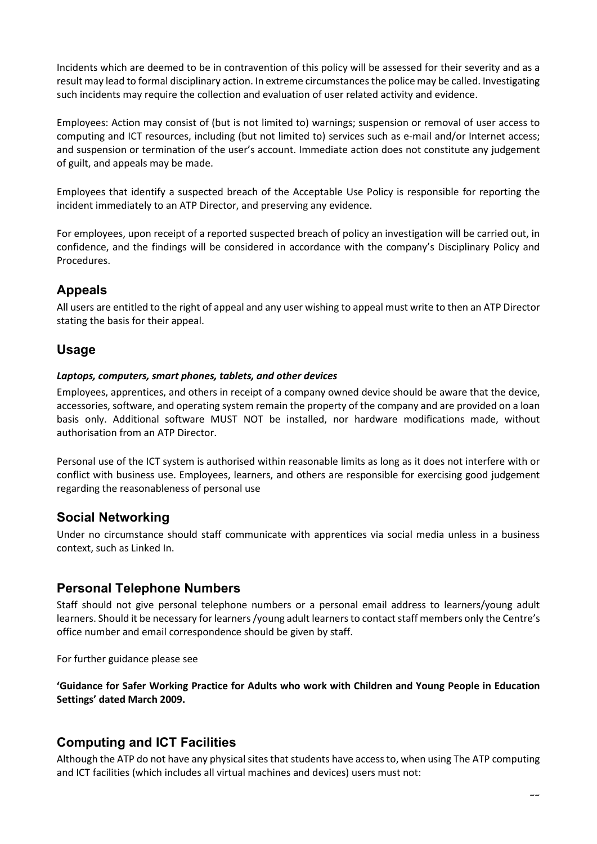Incidents which are deemed to be in contravention of this policy will be assessed for their severity and as a result may lead to formal disciplinary action. In extreme circumstances the police may be called. Investigating such incidents may require the collection and evaluation of user related activity and evidence.

Employees: Action may consist of (but is not limited to) warnings; suspension or removal of user access to computing and ICT resources, including (but not limited to) services such as e-mail and/or Internet access; and suspension or termination of the user's account. Immediate action does not constitute any judgement of guilt, and appeals may be made.

Employees that identify a suspected breach of the Acceptable Use Policy is responsible for reporting the incident immediately to an ATP Director, and preserving any evidence.

For employees, upon receipt of a reported suspected breach of policy an investigation will be carried out, in confidence, and the findings will be considered in accordance with the company's Disciplinary Policy and Procedures.

# <span id="page-21-0"></span>**Appeals**

All users are entitled to the right of appeal and any user wishing to appeal must write to then an ATP Director stating the basis for their appeal.

## <span id="page-21-1"></span>**Usage**

#### *Laptops, computers, smart phones, tablets, and other devices*

Employees, apprentices, and others in receipt of a company owned device should be aware that the device, accessories, software, and operating system remain the property of the company and are provided on a loan basis only. Additional software MUST NOT be installed, nor hardware modifications made, without authorisation from an ATP Director.

Personal use of the ICT system is authorised within reasonable limits as long as it does not interfere with or conflict with business use. Employees, learners, and others are responsible for exercising good judgement regarding the reasonableness of personal use

## <span id="page-21-2"></span>**Social Networking**

Under no circumstance should staff communicate with apprentices via social media unless in a business context, such as Linked In.

## <span id="page-21-3"></span>**Personal Telephone Numbers**

Staff should not give personal telephone numbers or a personal email address to learners/young adult learners. Should it be necessary for learners /young adult learners to contact staff members only the Centre's office number and email correspondence should be given by staff.

For further guidance please see

**'Guidance for Safer Working Practice for Adults who work with Children and Young People in Education Settings' dated March 2009.**

## <span id="page-21-4"></span>**Computing and ICT Facilities**

Although the ATP do not have any physical sites that students have access to, when using The ATP computing and ICT facilities (which includes all virtual machines and devices) users must not: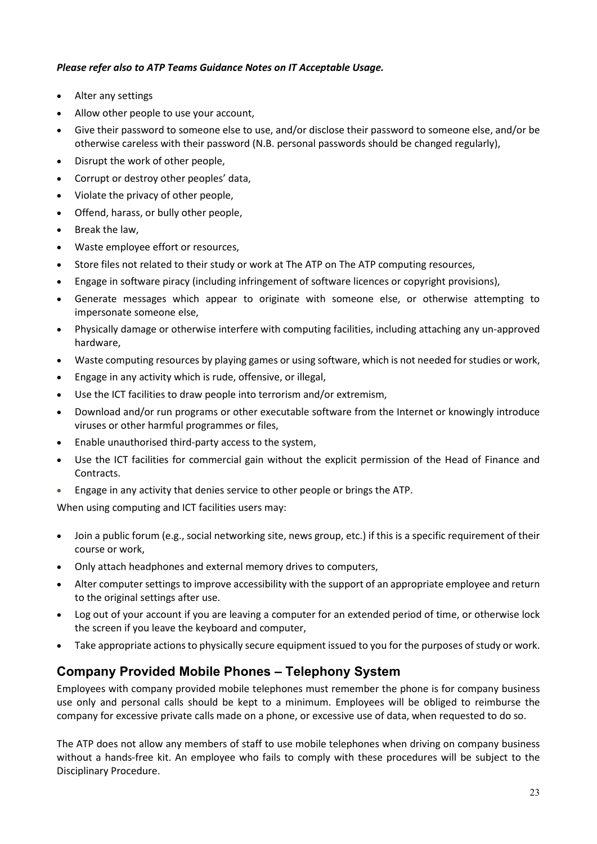#### *Please refer also to ATP Teams Guidance Notes on IT Acceptable Usage.*

- Alter any settings
- Allow other people to use your account,
- Give their password to someone else to use, and/or disclose their password to someone else, and/or be otherwise careless with their password (N.B. personal passwords should be changed regularly),
- Disrupt the work of other people,
- Corrupt or destroy other peoples' data,
- Violate the privacy of other people,
- Offend, harass, or bully other people,
- Break the law,
- Waste employee effort or resources,
- Store files not related to their study or work at The ATP on The ATP computing resources,
- Engage in software piracy (including infringement of software licences or copyright provisions),
- Generate messages which appear to originate with someone else, or otherwise attempting to impersonate someone else,
- Physically damage or otherwise interfere with computing facilities, including attaching any un-approved hardware,
- Waste computing resources by playing games or using software, which is not needed for studies or work,
- Engage in any activity which is rude, offensive, or illegal,
- Use the ICT facilities to draw people into terrorism and/or extremism,
- Download and/or run programs or other executable software from the Internet or knowingly introduce viruses or other harmful programmes or files,
- Enable unauthorised third-party access to the system,
- Use the ICT facilities for commercial gain without the explicit permission of the Head of Finance and Contracts.
- Engage in any activity that denies service to other people or brings the ATP.

When using computing and ICT facilities users may:

- Join a public forum (e.g., social networking site, news group, etc.) if this is a specific requirement of their course or work,
- Only attach headphones and external memory drives to computers,
- Alter computer settings to improve accessibility with the support of an appropriate employee and return to the original settings after use.
- Log out of your account if you are leaving a computer for an extended period of time, or otherwise lock the screen if you leave the keyboard and computer,
- Take appropriate actions to physically secure equipment issued to you for the purposes of study or work.

# <span id="page-22-0"></span>**Company Provided Mobile Phones – Telephony System**

Employees with company provided mobile telephones must remember the phone is for company business use only and personal calls should be kept to a minimum. Employees will be obliged to reimburse the company for excessive private calls made on a phone, or excessive use of data, when requested to do so.

The ATP does not allow any members of staff to use mobile telephones when driving on company business without a hands-free kit. An employee who fails to comply with these procedures will be subject to the Disciplinary Procedure.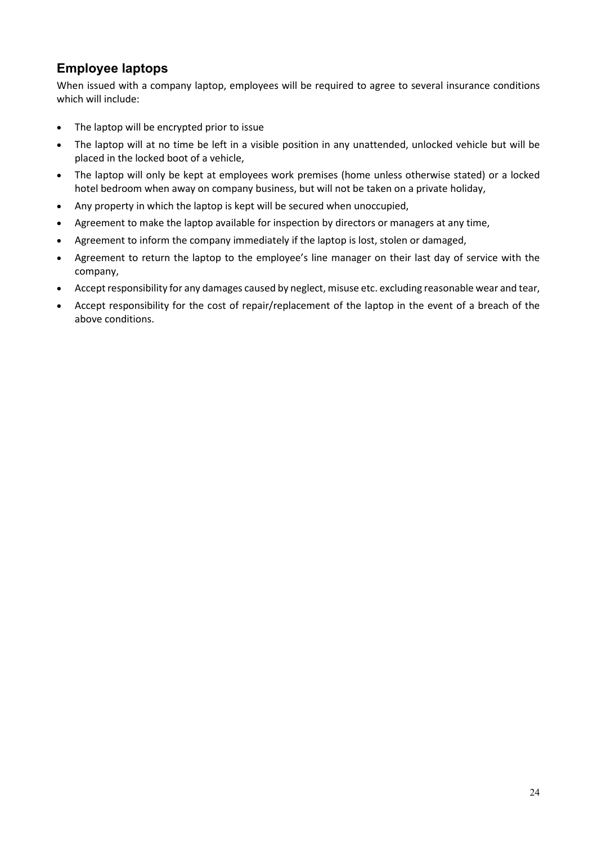# <span id="page-23-0"></span>**Employee laptops**

When issued with a company laptop, employees will be required to agree to several insurance conditions which will include:

- The laptop will be encrypted prior to issue
- The laptop will at no time be left in a visible position in any unattended, unlocked vehicle but will be placed in the locked boot of a vehicle,
- The laptop will only be kept at employees work premises (home unless otherwise stated) or a locked hotel bedroom when away on company business, but will not be taken on a private holiday,
- Any property in which the laptop is kept will be secured when unoccupied,
- Agreement to make the laptop available for inspection by directors or managers at any time,
- Agreement to inform the company immediately if the laptop is lost, stolen or damaged,
- Agreement to return the laptop to the employee's line manager on their last day of service with the company,
- Accept responsibility for any damages caused by neglect, misuse etc. excluding reasonable wear and tear,
- Accept responsibility for the cost of repair/replacement of the laptop in the event of a breach of the above conditions.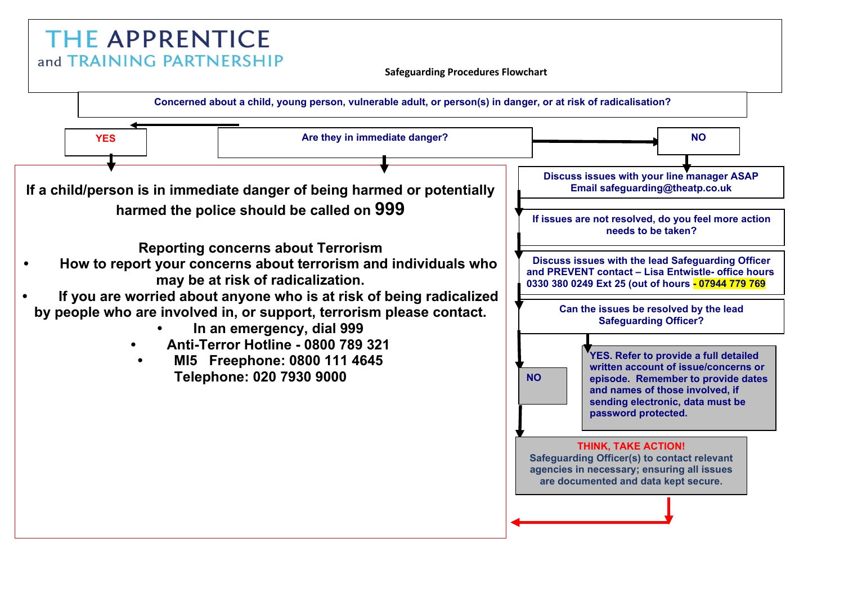# **THE APPRENTICE** and TRAINING PARTNERSHIP

**Safeguarding Procedures Flowchart**